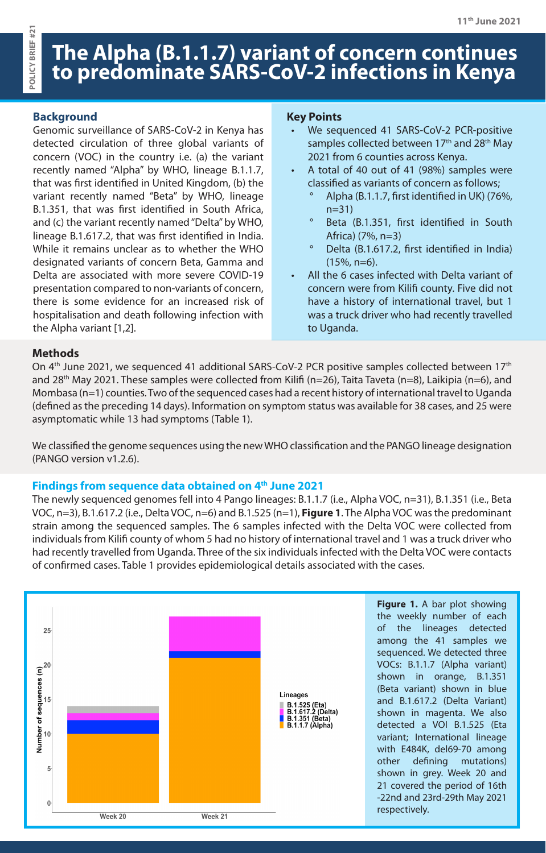# **The Alpha (B.1.1.7) variant of concern continues to predominate SARS-CoV-2 infections in Kenya**

# **Background**

**POLICY BRIEF #21**

POLICY BRIEF #21

Genomic surveillance of SARS-CoV-2 in Kenya has detected circulation of three global variants of concern (VOC) in the country i.e. (a) the variant recently named "Alpha" by WHO, lineage B.1.1.7, that was first identified in United Kingdom, (b) the variant recently named "Beta" by WHO, lineage B.1.351, that was first identified in South Africa, and (c) the variant recently named "Delta" by WHO, lineage B.1.617.2, that was first identified in India. While it remains unclear as to whether the WHO designated variants of concern Beta, Gamma and Delta are associated with more severe COVID-19 presentation compared to non-variants of concern, there is some evidence for an increased risk of hospitalisation and death following infection with the Alpha variant [1,2].

#### **Key Points**

- We sequenced 41 SARS-CoV-2 PCR-positive samples collected between 17<sup>th</sup> and 28<sup>th</sup> May 2021 from 6 counties across Kenya.
- A total of 40 out of 41 (98%) samples were classified as variants of concern as follows;
	- ° Alpha (B.1.1.7, first identified in UK) (76%, n=31)
	- ° Beta (B.1.351, first identified in South Africa) (7%, n=3)
	- ° Delta (B.1.617.2, first identified in India) (15%, n=6).
- All the 6 cases infected with Delta variant of concern were from Kilifi county. Five did not have a history of international travel, but 1 was a truck driver who had recently travelled to Uganda.

## **Methods**

On 4<sup>th</sup> June 2021, we sequenced 41 additional SARS-CoV-2 PCR positive samples collected between 17<sup>th</sup> and 28<sup>th</sup> May 2021. These samples were collected from Kilifi (n=26), Taita Taveta (n=8), Laikipia (n=6), and Mombasa (n=1) counties. Two of the sequenced cases had a recent history of international travel to Uganda (defined as the preceding 14 days). Information on symptom status was available for 38 cases, and 25 were asymptomatic while 13 had symptoms (Table 1).

We classified the genome sequences using the new WHO classification and the PANGO lineage designation (PANGO version v1.2.6).

#### **Findings from sequence data obtained on 4th June 2021**

The newly sequenced genomes fell into 4 Pango lineages: B.1.1.7 (i.e., Alpha VOC, n=31), B.1.351 (i.e., Beta VOC, n=3), B.1.617.2 (i.e., Delta VOC, n=6) and B.1.525 (n=1), **Figure 1**. The Alpha VOC was the predominant strain among the sequenced samples. The 6 samples infected with the Delta VOC were collected from individuals from Kilifi county of whom 5 had no history of international travel and 1 was a truck driver who had recently travelled from Uganda. Three of the six individuals infected with the Delta VOC were contacts of confirmed cases. Table 1 provides epidemiological details associated with the cases.

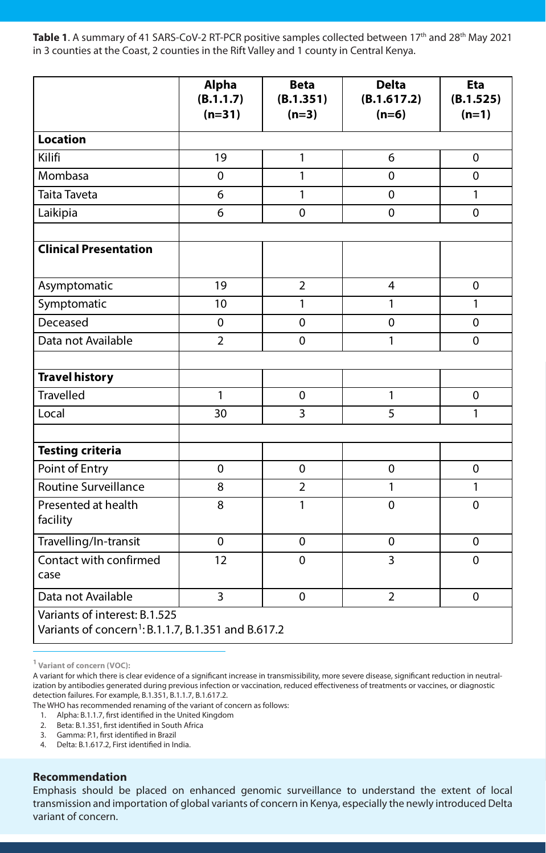Table 1. A summary of 41 SARS-CoV-2 RT-PCR positive samples collected between 17<sup>th</sup> and 28<sup>th</sup> May 2021 in 3 counties at the Coast, 2 counties in the Rift Valley and 1 county in Central Kenya.

|                                                                                                  | <b>Alpha</b><br>(B.1.1.7)<br>$(n=31)$ | <b>Beta</b><br>(B.1.351)<br>$(n=3)$ | <b>Delta</b><br>(B.1.617.2)<br>$(n=6)$ | <b>Eta</b><br>(B.1.525)<br>$(n=1)$ |
|--------------------------------------------------------------------------------------------------|---------------------------------------|-------------------------------------|----------------------------------------|------------------------------------|
| <b>Location</b>                                                                                  |                                       |                                     |                                        |                                    |
| Kilifi                                                                                           | 19                                    | 1                                   | 6                                      | $\mathbf 0$                        |
| Mombasa                                                                                          | $\mathbf 0$                           | 1                                   | $\mathbf 0$                            | $\mathbf 0$                        |
| <b>Taita Taveta</b>                                                                              | 6                                     | 1                                   | $\overline{0}$                         | 1                                  |
| Laikipia                                                                                         | 6                                     | $\mathbf 0$                         | $\mathbf 0$                            | $\mathbf 0$                        |
| <b>Clinical Presentation</b>                                                                     |                                       |                                     |                                        |                                    |
| Asymptomatic                                                                                     | 19                                    | $\overline{2}$                      | $\overline{4}$                         | $\mathbf 0$                        |
| Symptomatic                                                                                      | 10                                    | 1                                   | 1                                      | 1                                  |
| Deceased                                                                                         | $\mathbf 0$                           | $\mathbf 0$                         | $\mathbf 0$                            | $\mathbf 0$                        |
| Data not Available                                                                               | $\overline{2}$                        | $\overline{0}$                      | 1                                      | $\overline{0}$                     |
| <b>Travel history</b><br><b>Travelled</b>                                                        | 1                                     | $\mathbf 0$                         | 1                                      | $\mathbf 0$                        |
| Local                                                                                            | 30                                    | 3                                   | 5                                      | 1                                  |
|                                                                                                  |                                       |                                     |                                        |                                    |
| <b>Testing criteria</b>                                                                          |                                       |                                     |                                        |                                    |
| Point of Entry                                                                                   | $\mathbf 0$                           | $\mathbf 0$                         | $\mathbf 0$                            | $\mathbf 0$                        |
| <b>Routine Surveillance</b>                                                                      | 8                                     | 2                                   |                                        |                                    |
| Presented at health<br>facility                                                                  | 8                                     | 1                                   | $\mathbf 0$                            | $\mathbf 0$                        |
| Travelling/In-transit                                                                            | $\overline{0}$                        | $\overline{0}$                      | $\overline{0}$                         | $\mathbf{0}$                       |
| Contact with confirmed<br>case                                                                   | 12                                    | $\mathbf 0$                         | 3                                      | $\mathbf 0$                        |
| Data not Available                                                                               | $\overline{3}$                        | $\mathbf 0$                         | $\overline{2}$                         | $\mathbf 0$                        |
| Variants of interest: B.1.525<br>Variants of concern <sup>1</sup> : B.1.1.7, B.1.351 and B.617.2 |                                       |                                     |                                        |                                    |

**1 Variant of concern (VOC):**

The WHO has recommended renaming of the variant of concern as follows:

- 1. Alpha: B.1.1.7, first identified in the United Kingdom
- 2. Beta: B.1.351, first identified in South Africa
- 3. Gamma: P.1, first identified in Brazil
- 4. Delta: B.1.617.2, First identified in India.

# **Recommendation**

Emphasis should be placed on enhanced genomic surveillance to understand the extent of local transmission and importation of global variants of concern in Kenya, especially the newly introduced Delta variant of concern.

A variant for which there is clear evidence of a significant increase in transmissibility, more severe disease, significant reduction in neutralization by antibodies generated during previous infection or vaccination, reduced effectiveness of treatments or vaccines, or diagnostic detection failures. For example, B.1.351, B.1.1.7, B.1.617.2.